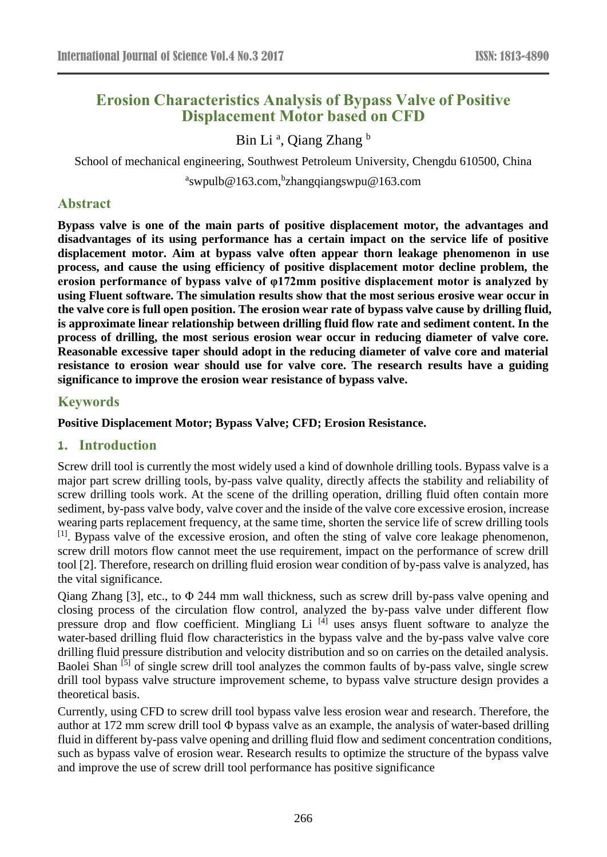# **Erosion Characteristics Analysis of Bypass Valve of Positive Displacement Motor based on CFD**

# Bin Li<sup>a</sup>, Qiang Zhang<sup>b</sup>

School of mechanical engineering, Southwest Petroleum University, Chengdu 610500, China

<sup>a</sup>swpulb@163.com, <sup>b</sup>zhangqiangswpu@163.com

#### **Abstract**

**Bypass valve is one of the main parts of positive displacement motor, the advantages and disadvantages of its using performance has a certain impact on the service life of positive displacement motor. Aim at bypass valve often appear thorn leakage phenomenon in use process, and cause the using efficiency of positive displacement motor decline problem, the erosion performance of bypass valve of φ172mm positive displacement motor is analyzed by using Fluent software. The simulation results show that the most serious erosive wear occur in the valve core is full open position. The erosion wear rate of bypass valve cause by drilling fluid, is approximate linear relationship between drilling fluid flow rate and sediment content. In the process of drilling, the most serious erosion wear occur in reducing diameter of valve core. Reasonable excessive taper should adopt in the reducing diameter of valve core and material resistance to erosion wear should use for valve core. The research results have a guiding significance to improve the erosion wear resistance of bypass valve.**

#### **Keywords**

**Positive Displacement Motor; Bypass Valve; CFD; Erosion Resistance.**

#### **1. Introduction**

Screw drill tool is currently the most widely used a kind of downhole drilling tools. Bypass valve is a major part screw drilling tools, by-pass valve quality, directly affects the stability and reliability of screw drilling tools work. At the scene of the drilling operation, drilling fluid often contain more sediment, by-pass valve body, valve cover and the inside of the valve core excessive erosion, increase wearing parts replacement frequency, at the same time, shorten the service life of screw drilling tools <sup>[1]</sup>. Bypass valve of the excessive erosion, and often the sting of valve core leakage phenomenon, screw drill motors flow cannot meet the use requirement, impact on the performance of screw drill tool [2]. Therefore, research on drilling fluid erosion wear condition of by-pass valve is analyzed, has the vital significance.

Qiang Zhang [3], etc., to  $\Phi$  244 mm wall thickness, such as screw drill by-pass valve opening and closing process of the circulation flow control, analyzed the by-pass valve under different flow pressure drop and flow coefficient. Mingliang Li  $^{[4]}$  uses ansys fluent software to analyze the water-based drilling fluid flow characteristics in the bypass valve and the by-pass valve valve core drilling fluid pressure distribution and velocity distribution and so on carries on the detailed analysis. Baolei Shan<sup>[5]</sup> of single screw drill tool analyzes the common faults of by-pass valve, single screw drill tool bypass valve structure improvement scheme, to bypass valve structure design provides a theoretical basis.

Currently, using CFD to screw drill tool bypass valve less erosion wear and research. Therefore, the author at 172 mm screw drill tool Φ bypass valve as an example, the analysis of water-based drilling fluid in different by-pass valve opening and drilling fluid flow and sediment concentration conditions, such as bypass valve of erosion wear. Research results to optimize the structure of the bypass valve and improve the use of screw drill tool performance has positive significance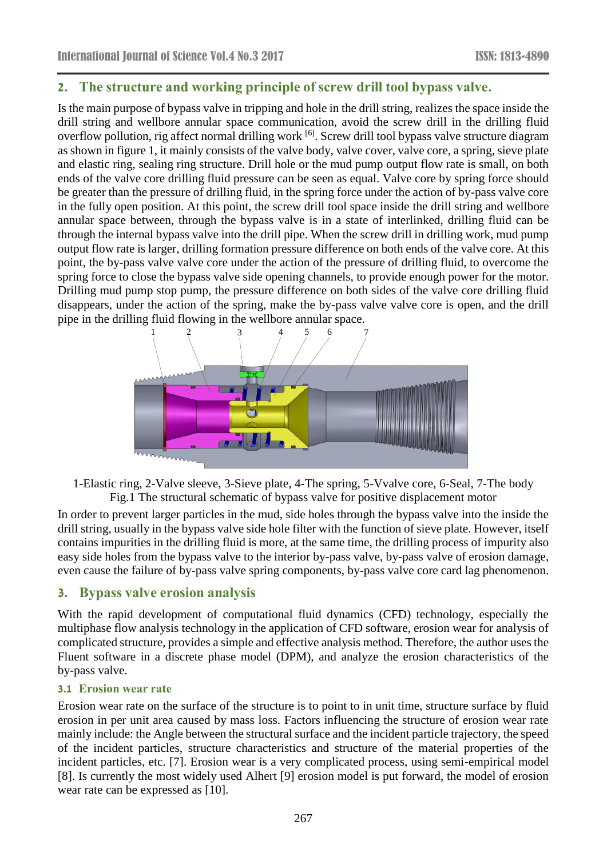# **2. The structure and working principle of screw drill tool bypass valve.**

Is the main purpose of bypass valve in tripping and hole in the drill string, realizes the space inside the drill string and wellbore annular space communication, avoid the screw drill in the drilling fluid overflow pollution, rig affect normal drilling work <sup>[6]</sup>. Screw drill tool bypass valve structure diagram as shown in figure 1, it mainly consists of the valve body, valve cover, valve core, a spring, sieve plate and elastic ring, sealing ring structure. Drill hole or the mud pump output flow rate is small, on both ends of the valve core drilling fluid pressure can be seen as equal. Valve core by spring force should be greater than the pressure of drilling fluid, in the spring force under the action of by-pass valve core in the fully open position. At this point, the screw drill tool space inside the drill string and wellbore annular space between, through the bypass valve is in a state of interlinked, drilling fluid can be through the internal bypass valve into the drill pipe. When the screw drill in drilling work, mud pump output flow rate is larger, drilling formation pressure difference on both ends of the valve core. At this point, the by-pass valve valve core under the action of the pressure of drilling fluid, to overcome the spring force to close the bypass valve side opening channels, to provide enough power for the motor. Drilling mud pump stop pump, the pressure difference on both sides of the valve core drilling fluid disappears, under the action of the spring, make the by-pass valve valve core is open, and the drill pipe in the drilling fluid flowing in the wellbore annular space.



1-Elastic ring, 2-Valve sleeve, 3-Sieve plate, 4-The spring, 5-Vvalve core, 6-Seal, 7-The body Fig.1 The structural schematic of bypass valve for positive displacement motor

In order to prevent larger particles in the mud, side holes through the bypass valve into the inside the drill string, usually in the bypass valve side hole filter with the function of sieve plate. However, itself contains impurities in the drilling fluid is more, at the same time, the drilling process of impurity also easy side holes from the bypass valve to the interior by-pass valve, by-pass valve of erosion damage, even cause the failure of by-pass valve spring components, by-pass valve core card lag phenomenon.

# **3. Bypass valve erosion analysis**

With the rapid development of computational fluid dynamics (CFD) technology, especially the multiphase flow analysis technology in the application of CFD software, erosion wear for analysis of complicated structure, provides a simple and effective analysis method. Therefore, the author uses the Fluent software in a discrete phase model (DPM), and analyze the erosion characteristics of the by-pass valve.

#### **3.1 Erosion wear rate**

Erosion wear rate on the surface of the structure is to point to in unit time, structure surface by fluid erosion in per unit area caused by mass loss. Factors influencing the structure of erosion wear rate mainly include: the Angle between the structural surface and the incident particle trajectory, the speed of the incident particles, structure characteristics and structure of the material properties of the incident particles, etc. [7]. Erosion wear is a very complicated process, using semi-empirical model [8]. Is currently the most widely used Alhert [9] erosion model is put forward, the model of erosion wear rate can be expressed as [10].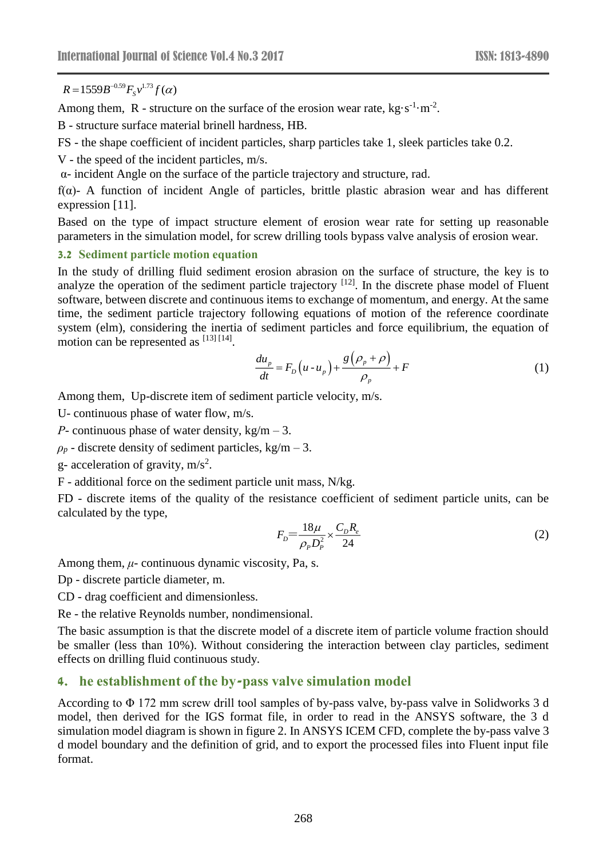$=$  1559 $B$  1

Among them, R - structure on the surface of the erosion wear rate,  $kg \cdot s^{-1} \cdot m^{-2}$ .

B - structure surface material brinell hardness, HB.

FS - the shape coefficient of incident particles, sharp particles take 1, sleek particles take 0.2.

V - the speed of the incident particles, m/s.

α- incident Angle on the surface of the particle trajectory and structure, rad.

f(α)- A function of incident Angle of particles, brittle plastic abrasion wear and has different expression [11].

Based on the type of impact structure element of erosion wear rate for setting up reasonable parameters in the simulation model, for screw drilling tools bypass valve analysis of erosion wear.

#### **3.2 Sediment particle motion equation**

R=1559 $B^{-159}B^{-109}F_3v^{1.3}f(\alpha)$ <br>
Nampy them, R - structure on the surface of the error<br>
nampy them, R - structure surface material brinell hardness, HB.<br>
T- the speed of the incident particles, m/s,<br>
T- the speed of the In the study of drilling fluid sediment erosion abrasion on the surface of structure, the key is to analyze the operation of the sediment particle trajectory  $[12]$ . In the discrete phase model of Fluent software, between discrete and continuous items to exchange of momentum, and energy. At the same time, the sediment particle trajectory following equations of motion of the reference coordinate system (elm), considering the inertia of sediment particles and force equilibrium, the equation of motion can be represented as [13] [14].

$$
\frac{du_p}{dt} = F_D(u - u_p) + \frac{g(\rho_p + \rho)}{\rho_p} + F
$$
\n(1)

Among them, Up-discrete item of sediment particle velocity, m/s.

U- continuous phase of water flow, m/s.

*Ρ-* continuous phase of water density, kg/m – 3.

 $\rho_p$  - discrete density of sediment particles, kg/m – 3.

g- acceleration of gravity,  $m/s<sup>2</sup>$ .

F - additional force on the sediment particle unit mass, N/kg.

FD - discrete items of the quality of the resistance coefficient of sediment particle units, can be calculated by the type,

$$
F_D = \frac{18\mu}{\rho_p D_p^2} \times \frac{C_D R_e}{24} \tag{2}
$$

Among them, *μ*- continuous dynamic viscosity, Pa, s.

Dp - discrete particle diameter, m.

CD - drag coefficient and dimensionless.

Re - the relative Reynolds number, nondimensional.

The basic assumption is that the discrete model of a discrete item of particle volume fraction should be smaller (less than 10%). Without considering the interaction between clay particles, sediment effects on drilling fluid continuous study.

# **4. he establishment of the by-pass valve simulation model**

According to Φ 172 mm screw drill tool samples of by-pass valve, by-pass valve in Solidworks 3 d model, then derived for the IGS format file, in order to read in the ANSYS software, the 3 d simulation model diagram is shown in figure 2. In ANSYS ICEM CFD, complete the by-pass valve 3 d model boundary and the definition of grid, and to export the processed files into Fluent input file format.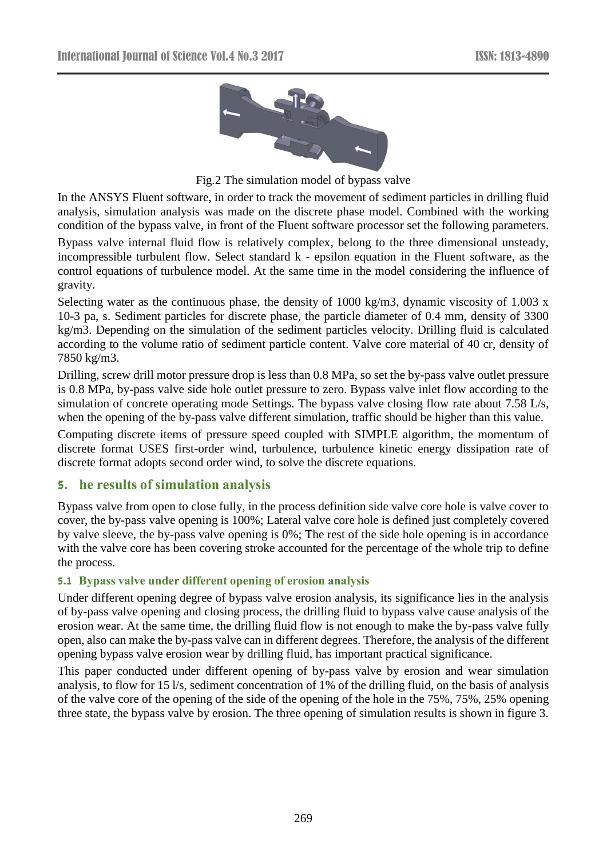

Fig.2 The simulation model of bypass valve

In the ANSYS Fluent software, in order to track the movement of sediment particles in drilling fluid analysis, simulation analysis was made on the discrete phase model. Combined with the working condition of the bypass valve, in front of the Fluent software processor set the following parameters.

Bypass valve internal fluid flow is relatively complex, belong to the three dimensional unsteady, incompressible turbulent flow. Select standard k - epsilon equation in the Fluent software, as the control equations of turbulence model. At the same time in the model considering the influence of gravity.

Selecting water as the continuous phase, the density of 1000 kg/m3, dynamic viscosity of 1.003 x 10-3 pa, s. Sediment particles for discrete phase, the particle diameter of 0.4 mm, density of 3300 kg/m3. Depending on the simulation of the sediment particles velocity. Drilling fluid is calculated according to the volume ratio of sediment particle content. Valve core material of 40 cr, density of 7850 kg/m3.

Drilling, screw drill motor pressure drop is less than 0.8 MPa, so set the by-pass valve outlet pressure is 0.8 MPa, by-pass valve side hole outlet pressure to zero. Bypass valve inlet flow according to the simulation of concrete operating mode Settings. The bypass valve closing flow rate about 7.58 L/s, when the opening of the by-pass valve different simulation, traffic should be higher than this value.

Computing discrete items of pressure speed coupled with SIMPLE algorithm, the momentum of discrete format USES first-order wind, turbulence, turbulence kinetic energy dissipation rate of discrete format adopts second order wind, to solve the discrete equations.

# **5. he results of simulation analysis**

Bypass valve from open to close fully, in the process definition side valve core hole is valve cover to cover, the by-pass valve opening is 100%; Lateral valve core hole is defined just completely covered by valve sleeve, the by-pass valve opening is 0%; The rest of the side hole opening is in accordance with the valve core has been covering stroke accounted for the percentage of the whole trip to define the process.

#### **5.1 Bypass valve under different opening of erosion analysis**

Under different opening degree of bypass valve erosion analysis, its significance lies in the analysis of by-pass valve opening and closing process, the drilling fluid to bypass valve cause analysis of the erosion wear. At the same time, the drilling fluid flow is not enough to make the by-pass valve fully open, also can make the by-pass valve can in different degrees. Therefore, the analysis of the different opening bypass valve erosion wear by drilling fluid, has important practical significance.

This paper conducted under different opening of by-pass valve by erosion and wear simulation analysis, to flow for 15 l/s, sediment concentration of 1% of the drilling fluid, on the basis of analysis of the valve core of the opening of the side of the opening of the hole in the 75%, 75%, 25% opening three state, the bypass valve by erosion. The three opening of simulation results is shown in figure 3.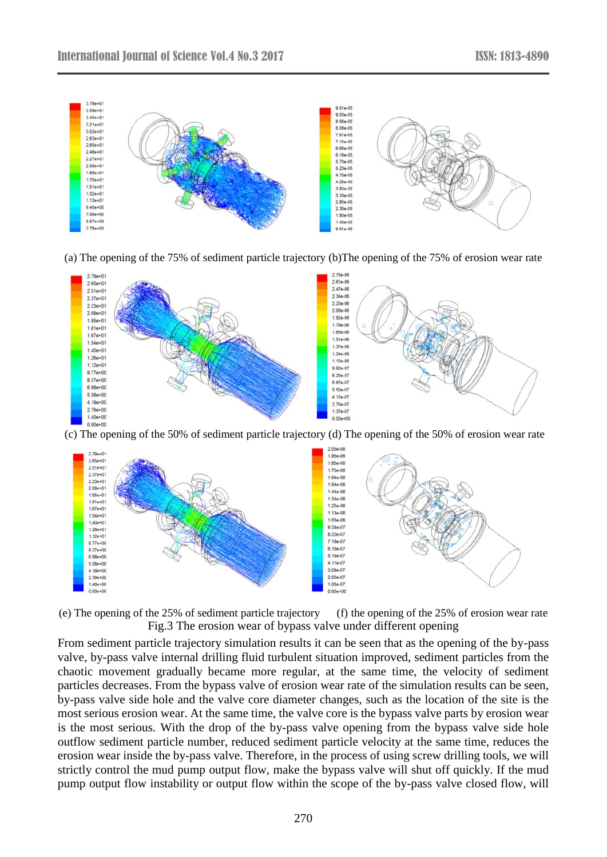

(a) The opening of the 75% of sediment particle trajectory (b)The opening of the 75% of erosion wear rate



(c) The opening of the 50% of sediment particle trajectory (d) The opening of the 50% of erosion wear rate

![](_page_4_Figure_6.jpeg)

(e) The opening of the 25% of sediment particle trajectory (f) the opening of the 25% of erosion wear rate Fig.3 The erosion wear of bypass valve under different opening

From sediment particle trajectory simulation results it can be seen that as the opening of the by-pass valve, by-pass valve internal drilling fluid turbulent situation improved, sediment particles from the chaotic movement gradually became more regular, at the same time, the velocity of sediment particles decreases. From the bypass valve of erosion wear rate of the simulation results can be seen, by-pass valve side hole and the valve core diameter changes, such as the location of the site is the most serious erosion wear. At the same time, the valve core is the bypass valve parts by erosion wear is the most serious. With the drop of the by-pass valve opening from the bypass valve side hole outflow sediment particle number, reduced sediment particle velocity at the same time, reduces the erosion wear inside the by-pass valve. Therefore, in the process of using screw drilling tools, we will strictly control the mud pump output flow, make the bypass valve will shut off quickly. If the mud pump output flow instability or output flow within the scope of the by-pass valve closed flow, will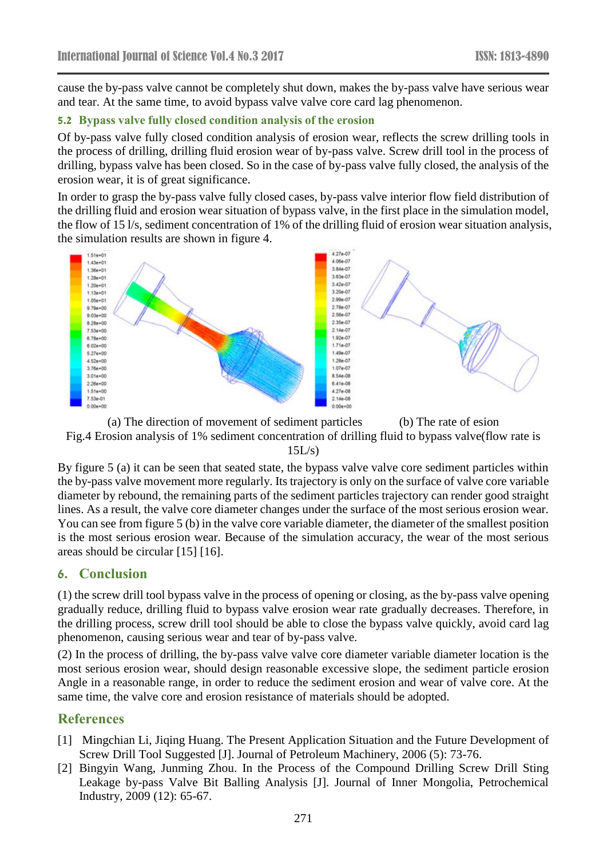cause the by-pass valve cannot be completely shut down, makes the by-pass valve have serious wear and tear. At the same time, to avoid bypass valve valve core card lag phenomenon.

#### **5.2 Bypass valve fully closed condition analysis of the erosion**

Of by-pass valve fully closed condition analysis of erosion wear, reflects the screw drilling tools in the process of drilling, drilling fluid erosion wear of by-pass valve. Screw drill tool in the process of drilling, bypass valve has been closed. So in the case of by-pass valve fully closed, the analysis of the erosion wear, it is of great significance.

In order to grasp the by-pass valve fully closed cases, by-pass valve interior flow field distribution of the drilling fluid and erosion wear situation of bypass valve, in the first place in the simulation model, the flow of 15 l/s, sediment concentration of 1% of the drilling fluid of erosion wear situation analysis, the simulation results are shown in figure 4.

![](_page_5_Figure_6.jpeg)

![](_page_5_Figure_7.jpeg)

![](_page_5_Figure_8.jpeg)

By figure 5 (a) it can be seen that seated state, the bypass valve valve core sediment particles within the by-pass valve movement more regularly. Its trajectory is only on the surface of valve core variable diameter by rebound, the remaining parts of the sediment particles trajectory can render good straight lines. As a result, the valve core diameter changes under the surface of the most serious erosion wear. You can see from figure 5 (b) in the valve core variable diameter, the diameter of the smallest position is the most serious erosion wear. Because of the simulation accuracy, the wear of the most serious areas should be circular [15] [16].

#### **6. Conclusion**

(1) the screw drill tool bypass valve in the process of opening or closing, as the by-pass valve opening gradually reduce, drilling fluid to bypass valve erosion wear rate gradually decreases. Therefore, in the drilling process, screw drill tool should be able to close the bypass valve quickly, avoid card lag phenomenon, causing serious wear and tear of by-pass valve.

(2) In the process of drilling, the by-pass valve valve core diameter variable diameter location is the most serious erosion wear, should design reasonable excessive slope, the sediment particle erosion Angle in a reasonable range, in order to reduce the sediment erosion and wear of valve core. At the same time, the valve core and erosion resistance of materials should be adopted.

# **References**

- [1] Mingchian Li, Jiqing Huang. The Present Application Situation and the Future Development of Screw Drill Tool Suggested [J]. Journal of Petroleum Machinery, 2006 (5): 73-76.
- [2] Bingyin Wang, Junming Zhou. In the Process of the Compound Drilling Screw Drill Sting Leakage by-pass Valve Bit Balling Analysis [J]. Journal of Inner Mongolia, Petrochemical Industry, 2009 (12): 65-67.